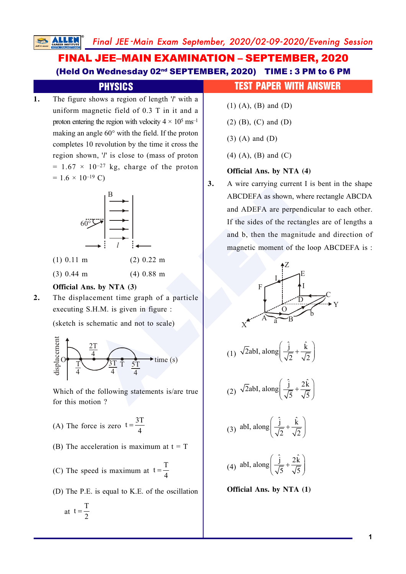# FINAL JEE–MAIN EXAMINATION – SEPTEMBER, 2020 (Held On Wednesday 02nd SEPTEMBER, 2020) TIME : 3 PM to 6 PM

**1.** The figure shows a region of length ' *l*' with a uniform magnetic field of 0.3 T in it and a proton entering the region with velocity  $4 \times 10^5$  ms<sup>-1</sup> making an angle 60° with the field. If the proton completes 10 revolution by the time it cross the region shown, ' *l*' is close to (mass of proton  $= 1.67 \times 10^{-27}$  kg, charge of the proton  $= 1.6 \times 10^{-19}$  C)



- (1) 0.11 m (2) 0.22 m
- (3) 0.44 m (4) 0.88 m

### **Official Ans. by NTA (3)**

**2.** The displacement time graph of a particle executing S.H.M. is given in figure :

(sketch is schematic and not to scale)



Which of the following statements is/are true for this motion ?

- (A) The force is zero  $t = \frac{3T}{4}$ 4 =
- (B) The acceleration is maximum at  $t = T$
- (C) The speed is maximum at  $t = \frac{T}{t}$ 4 =
- (D) The P.E. is equal to K.E. of the oscillation

$$
at \ t=\frac{T}{2}
$$

## **PHYSICS** TEST PAPER WITH ANSWER

- (1) (A), (B) and (D)
- (2) (B), (C) and (D)
- (3) (A) and (D)
- (4) (A), (B) and (C)

## **Official Ans. by NTA (4)**

**3.** A wire carrying current I is bent in the shape ABCDEFA as shown, where rectangle ABCDA and ADEFA are perpendicular to each other. If the sides of the rectangles are of lengths a and b, then the magnitude and direction of magnetic moment of the loop ABCDEFA is :



**Official Ans. by NTA (1)**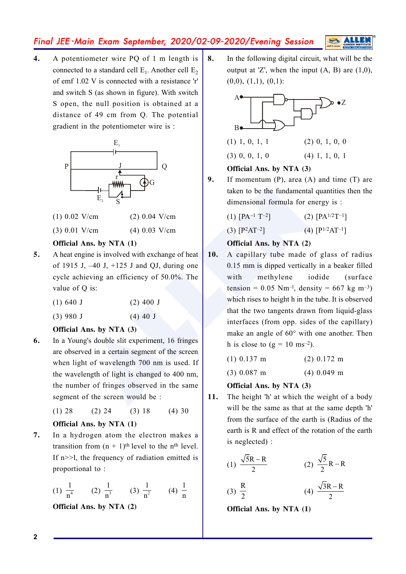**4.** A potentiometer wire PQ of 1 m length is connected to a standard cell  $E_1$ . Another cell  $E_2$ of emf 1.02 V is connected with a resistance 'r' and switch S (as shown in figure). With switch S open, the null position is obtained at a distance of 49 cm from Q. The potential gradient in the potentiometer wire is :



- (1) 0.02 V/cm (2) 0.04 V/cm
- (3) 0.01 V/cm (4) 0.03 V/cm

### **Official Ans. by NTA (1)**

- **5.** A heat engine is involved with exchange of heat of 1915 J,  $-40$  J,  $+125$  J and QJ, during one cycle achieving an efficiency of 50.0%. The value of Q is:
	- (1) 640 J (2) 400 J
	- (3) 980 J (4) 40 J

#### **Official Ans. by NTA (3)**

**6.** In a Young's double slit experiment, 16 fringes are observed in a certain segment of the screen when light of wavelength 700 nm is used. If the wavelength of light is changed to 400 nm, the number of fringes observed in the same segment of the screen would be :

(1) 28 (2) 24 (3) 18 (4) 30

### **Official Ans. by NTA (1)**

**7.** In a hydrogen atom the electron makes a transition from  $(n + 1)$ <sup>th</sup> level to the n<sup>th</sup> level. If n>>l, the frequency of radiation emitted is proportional to :

(1) 
$$
\frac{1}{n^4}
$$
 (2)  $\frac{1}{n^3}$  (3)  $\frac{1}{n^2}$  (4)  $\frac{1}{n}$ 

**Official Ans. by NTA (2)**

**8.** In the following digital circuit, what will be the output at  $Z'$ , when the input  $(A, B)$  are  $(1,0)$ ,  $(0,0), (1,1), (0,1)$ :



(3) 0, 0, 1, 0 (4) 1, 1, 0, 1

## **Official Ans. by NTA (3)**

- **9.** If momentum (P), area (A) and time (T) are taken to be the fundamental quantities then the dimensional formula for energy is :
	- $(1)$   $[PA^{-1}T^{-2}]$  $[PA^{1/2}T^{-1}]$

 $(3)$  [P<sup>2</sup>AT<sup>-2</sup>  $[$   $]$   $(4)$   $[$   $P^{1/2}AT^{-1}$ 

## **Official Ans. by NTA (2)**

- $V/cm$ <br>
V/cm (2) 0.04 V/cm<br>
(4) 0.03 V/cm<br>
(4) 0.03 V/cm<br>
(4) 0.03 V/cm<br>
(4) 0.03 V/cm<br>
(4) 0.04 V/cm<br>
(4) 0.04 V/cm<br>
(4) 0.04 V/cm<br>
(4) 0.04 V/cm<br>
(3)  $[P^2AT^{-2}]$ <br>
(4)  $[P^1T^{-2}]$ <br>
(4)  $[P^1T^{-2}]$ <br>
(4)  $[P^2T^{-2}]$ <br>
(4)  $[P^2T^{-2}]$ <br> **10.** A capillary tube made of glass of radius 0.15 mm is dipped vertically in a beaker filled with methylene iodide (surface) tension =  $0.05$  Nm<sup>-1</sup>, density = 667 kg m<sup>-3</sup>) which rises to height h in the tube. It is observed that the two tangents drawn from liquid-glass interfaces (from opp. sides of the capillary) make an angle of 60° with one another. Then h is close to  $(g = 10 \text{ ms}^{-2})$ .
	- (1) 0.137 m (2) 0.172 m

(3) 0.087 m (4) 0.049 m

### **Official Ans. by NTA (3)**

**11.** The height 'h' at which the weight of a body will be the same as that at the same depth 'h' from the surface of the earth is (Radius of the earth is R and effect of the rotation of the earth is neglected) :

(1) 
$$
\frac{\sqrt{5R} - R}{2}
$$
 (2)  $\frac{\sqrt{5}}{2}R - R$   
(3)  $\frac{R}{2}$  (4)  $\frac{\sqrt{3R} - R}{2}$ 

**Official Ans. by NTA (1)**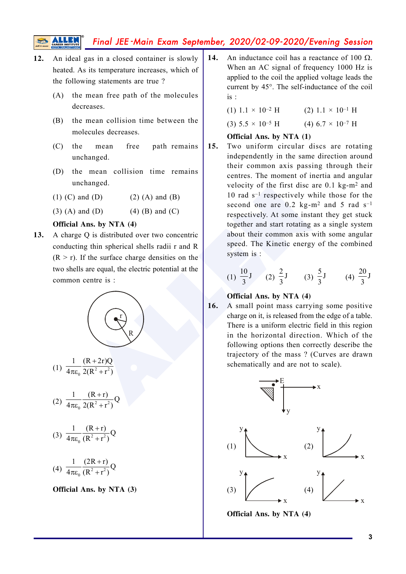- **12.** An ideal gas in a closed container is slowly heated. As its temperature increases, which of the following statements are true ?
	- (A) the mean free path of the molecules decreases.
	- (B) the mean collision time between the molecules decreases.
	- (C) the mean free path remains unchanged.
	- (D) the mean collision time remains unchanged.
	- (1) (C) and (D) (2) (A) and (B)
	- (3) (A) and (D) (4) (B) and (C)

### **Official Ans. by NTA (4)**

**13.** A charge Q is distributed over two concentric conducting thin spherical shells radii r and R  $(R > r)$ . If the surface charge densities on the two shells are equal, the electric potential at the common centre is :



(1)  $\frac{1}{4\pi\epsilon_0} \frac{1}{2(R^2+r^2)}$  $\frac{1}{4\pi\epsilon_0} \frac{(R+2r)Q}{2(R^2+r^2)}$ 

(2)  $\frac{ }{4\pi \varepsilon_0} \frac{ }{2(R^2+r^2)}$  $\frac{1}{4\pi\epsilon_0} \frac{(R+r)}{2(R^2+r^2)} Q$ 

(3) 
$$
\frac{1}{4\pi\varepsilon_0} \frac{(R+r)}{(R^2+r^2)} Q
$$

(4) 
$$
\frac{1}{4\pi\varepsilon_0} \frac{(2R+r)}{(R^2+r^2)}Q
$$

#### **Official Ans. by NTA (3)**

**14.** An inductance coil has a reactance of 100  $\Omega$ . When an AC signal of frequency 1000 Hz is applied to the coil the applied voltage leads the current by 45°. The self-inductance of the coil is :

| $(1)$ 1.1 × 10 <sup>-2</sup> H        | $(2)$ 1.1 $\times$ 10 <sup>-1</sup> H |
|---------------------------------------|---------------------------------------|
| $(3)$ 5.5 $\times$ 10 <sup>-5</sup> H | $(4) 6.7 \times 10^{-7}$ H            |

#### **Official Ans. by NTA (1)**

Manged.<br>
(d) (2) (A) and (B)<br>
(4) (B) and (C)<br>
and (D) (4) (B) and (C)<br>
accord one are 0.2 kg-m<sup>2</sup> a<br>
cerocity of the first disc are 0<br>
accord one are 0.2 kg-m<sup>2</sup> a<br>
respectively. At some instant to<br>
together and start ro **15.** Two uniform circular discs are rotating independently in the same direction around their common axis passing through their centres. The moment of inertia and angular velocity of the first disc are 0.1 kg-m <sup>2</sup> and 10 rad  $s^{-1}$  respectively while those for the second one are  $0.2 \text{ kg-m}^2$  and 5 rad s<sup>-1</sup> respectively. At some instant they get stuck together and start rotating as a single system about their common axis with some angular speed. The Kinetic energy of the combined system is :

(1) 
$$
\frac{10}{3}
$$
 J (2)  $\frac{2}{3}$  J (3)  $\frac{5}{3}$  J (4)  $\frac{20}{3}$  J

#### **Official Ans. by NTA (4)**

**16.** A small point mass carrying some positive charge on it, is released from the edge of a table. There is a uniform electric field in this region in the horizontal direction. Which of the following options then correctly describe the trajectory of the mass ? (Curves are drawn schematically and are not to scale).



**Official Ans. by NTA (4)**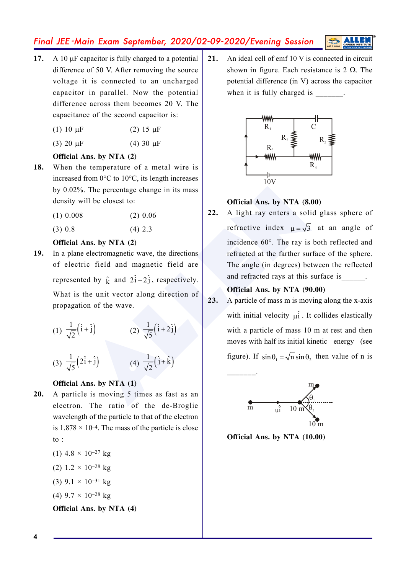- 17. A 10 µF capacitor is fully charged to a potential difference of 50 V. After removing the source voltage it is connected to an uncharged capacitor in parallel. Now the potential difference across them becomes 20 V. The capacitance of the second capacitor is:
	- $(1)$  10 μ F (2) 15  $\mu$ F
	- $(3)$  20  $\mu$ F (4) 30  $\mu$ F

### **Official Ans. by NTA (2)**

- **18.** When the temperature of a metal wire is increased from 0°C to 10°C, its length increases by 0.02%. The percentage change in its mass density will be closest to:
	- $(1)$  0.008  $(2)$  0.06
	- $(3)$  0.8  $(4)$  2.3

### **Official Ans. by NTA (2)**

**19.** In a plane electromagnetic wave, the directions of electric field and magnetic field are represented by  $\hat{k}$  and  $2\hat{i}-2\hat{j}$ , respectively. What is the unit vector along direction of propagation of the wave.

(1) 
$$
\frac{1}{\sqrt{2}}(\hat{i} + \hat{j})
$$
 (2)  $\frac{1}{\sqrt{5}}(\hat{i} + 2\hat{j})$ 

(3)  $\frac{1}{\sqrt{5}}(2\hat{i}+\hat{j})$  (4)  $\frac{1}{\sqrt{2}}(\hat{j}+\hat{k})$ 

## **Official Ans. by NTA (1)**

**20.** A particle is moving 5 times as fast as an electron. The ratio of the de-Broglie wavelength of the particle to that of the electron is  $1.878 \times 10^{-4}$ . The mass of the particle is close to :

(1) 
$$
4.8 \times 10^{-27}
$$
 kg  
\n(2)  $1.2 \times 10^{-28}$  kg  
\n(3)  $9.1 \times 10^{-31}$  kg  
\n(4)  $9.7 \times 10^{-28}$  kg  
\n**Official Ans. by NTA** (4)

**21.** An ideal cell of emf 10 V is connected in circuit shown in figure. Each resistance is  $2 \Omega$ . The potential difference (in V) across the capacitor when it is fully charged is \_\_\_\_\_\_\_.



### **Official Ans. by NTA (8.00)**

b. The percentage change in its mass<br>
vill be closest to:<br>
(2) 0.06<br>
(4) 2.3<br> **ALLENDERENTE ALLENDERENT ALLENDERENT ALLENDERENT ALLENDERENT ALLENDERENT ALLENDERENT (4)**  $\frac{1}{\sqrt{2}}(\hat{i}+\hat{i})$ **<br>
(4)**  $\frac{1}{\sqrt{2}}(\hat{i}+\hat{j})$ **<br>
(4) 22.** A light ray enters a solid glass sphere of refractive index  $\mu = \sqrt{3}$  at an angle of incidence 60°. The ray is both reflected and refracted at the farther surface of the sphere. The angle (in degrees) between the reflected and refracted rays at this surface is

#### **Official Ans. by NTA (90.00)**

**23.** A particle of mass m is moving along the x-axis with initial velocity  $\hat{\mu}$ . It collides elastically with a particle of mass 10 m at rest and then moves with half its initial kinetic energy (see figure). If  $\sin \theta_1 = \sqrt{n} \sin \theta_2$ , then value of n is



**Official Ans. by NTA (10.00)**